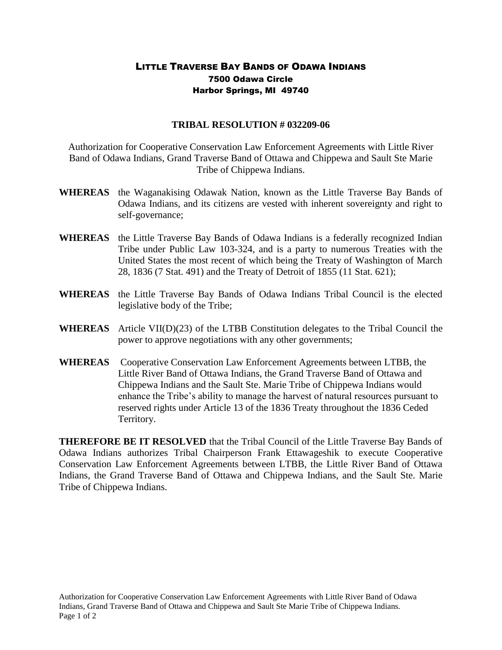## LITTLE TRAVERSE BAY BANDS OF ODAWA INDIANS 7500 Odawa Circle Harbor Springs, MI 49740

## **TRIBAL RESOLUTION # 032209-06**

Authorization for Cooperative Conservation Law Enforcement Agreements with Little River Band of Odawa Indians, Grand Traverse Band of Ottawa and Chippewa and Sault Ste Marie Tribe of Chippewa Indians.

- **WHEREAS** the Waganakising Odawak Nation, known as the Little Traverse Bay Bands of Odawa Indians, and its citizens are vested with inherent sovereignty and right to self-governance;
- **WHEREAS** the Little Traverse Bay Bands of Odawa Indians is a federally recognized Indian Tribe under Public Law 103-324, and is a party to numerous Treaties with the United States the most recent of which being the Treaty of Washington of March 28, 1836 (7 Stat. 491) and the Treaty of Detroit of 1855 (11 Stat. 621);
- **WHEREAS** the Little Traverse Bay Bands of Odawa Indians Tribal Council is the elected legislative body of the Tribe;
- **WHEREAS** Article VII(D)(23) of the LTBB Constitution delegates to the Tribal Council the power to approve negotiations with any other governments;
- **WHEREAS** Cooperative Conservation Law Enforcement Agreements between LTBB, the Little River Band of Ottawa Indians, the Grand Traverse Band of Ottawa and Chippewa Indians and the Sault Ste. Marie Tribe of Chippewa Indians would enhance the Tribe's ability to manage the harvest of natural resources pursuant to reserved rights under Article 13 of the 1836 Treaty throughout the 1836 Ceded Territory.

**THEREFORE BE IT RESOLVED** that the Tribal Council of the Little Traverse Bay Bands of Odawa Indians authorizes Tribal Chairperson Frank Ettawageshik to execute Cooperative Conservation Law Enforcement Agreements between LTBB, the Little River Band of Ottawa Indians, the Grand Traverse Band of Ottawa and Chippewa Indians, and the Sault Ste. Marie Tribe of Chippewa Indians.